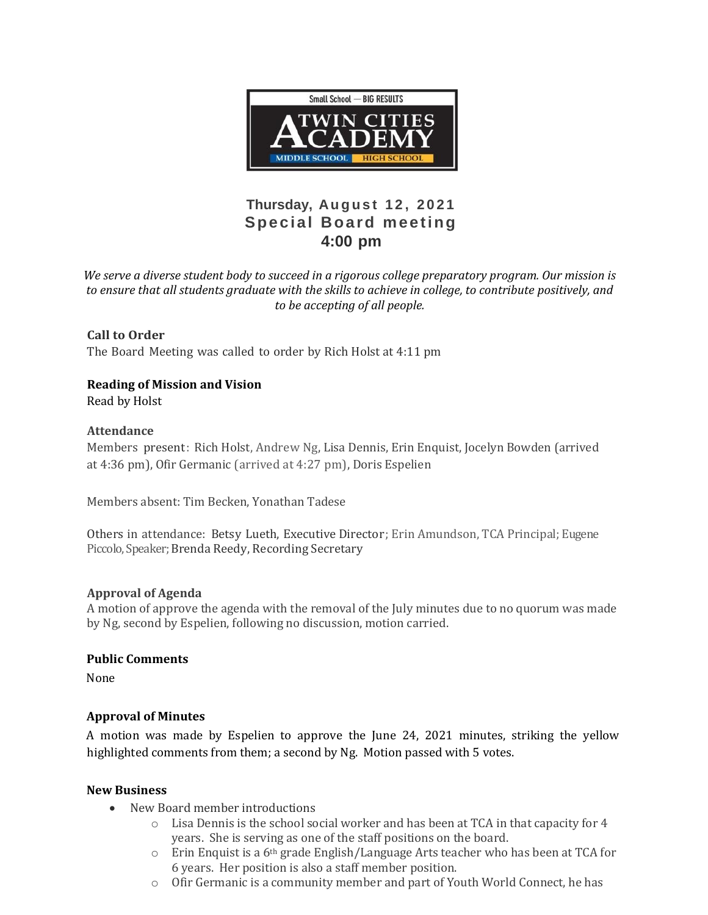

# **Thursday, Au g u s t 1 2 , 2 0 2 1 Special Board meeting 4:00 pm**

*We serve a diverse student body to succeed in a rigorous college preparatory program. Our mission is to ensure that all students graduate with the skills to achieve in college, to contribute positively, and to be accepting of all people.*

**Call to Order** The Board Meeting was called to order by Rich Holst at 4:11 pm

# **Reading of Mission and Vision**

Read by Holst

## **Attendance**

Members present: Rich Holst, Andrew Ng, Lisa Dennis, Erin Enquist, Jocelyn Bowden (arrived at 4:36 pm), Ofir Germanic (arrived at 4:27 pm), Doris Espelien

Members absent: Tim Becken, Yonathan Tadese

Others in attendance: Betsy Lueth, Executive Director; Erin Amundson, TCA Principal; Eugene Piccolo, Speaker; Brenda Reedy, Recording Secretary

#### **Approval of Agenda**

A motion of approve the agenda with the removal of the July minutes due to no quorum was made by Ng, second by Espelien, following no discussion, motion carried.

#### **Public Comments**

None

## **Approval of Minutes**

A motion was made by Espelien to approve the June 24, 2021 minutes, striking the yellow highlighted comments from them; a second by Ng. Motion passed with 5 votes.

#### **New Business**

- New Board member introductions
	- $\circ$  Lisa Dennis is the school social worker and has been at TCA in that capacity for 4 years. She is serving as one of the staff positions on the board.
	- $\circ$  Erin Enquist is a 6<sup>th</sup> grade English/Language Arts teacher who has been at TCA for 6 years. Her position is also a staff member position.
	- o Ofir Germanic is a community member and part of Youth World Connect, he has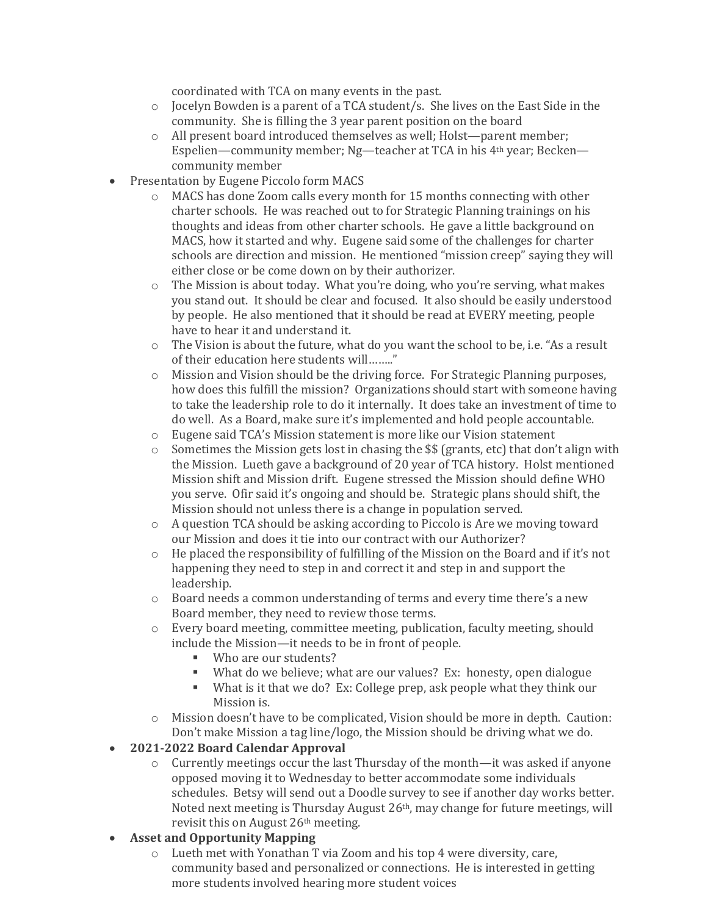coordinated with TCA on many events in the past.

- $\circ$  Jocelyn Bowden is a parent of a TCA student/s. She lives on the East Side in the community. She is filling the 3 year parent position on the board
- o All present board introduced themselves as well; Holst—parent member; Espelien—community member; Ng—teacher at TCA in his 4th year; Becken community member
- Presentation by Eugene Piccolo form MACS
	- $\circ$  MACS has done Zoom calls every month for 15 months connecting with other charter schools. He was reached out to for Strategic Planning trainings on his thoughts and ideas from other charter schools. He gave a little background on MACS, how it started and why. Eugene said some of the challenges for charter schools are direction and mission. He mentioned "mission creep" saying they will either close or be come down on by their authorizer.
	- o The Mission is about today. What you're doing, who you're serving, what makes you stand out. It should be clear and focused. It also should be easily understood by people. He also mentioned that it should be read at EVERY meeting, people have to hear it and understand it.
	- o The Vision is about the future, what do you want the school to be, i.e. "As a result of their education here students will…….."
	- o Mission and Vision should be the driving force. For Strategic Planning purposes, how does this fulfill the mission? Organizations should start with someone having to take the leadership role to do it internally. It does take an investment of time to do well. As a Board, make sure it's implemented and hold people accountable.
	- o Eugene said TCA's Mission statement is more like our Vision statement
	- $\circ$  Sometimes the Mission gets lost in chasing the \$\$ (grants, etc) that don't align with the Mission. Lueth gave a background of 20 year of TCA history. Holst mentioned Mission shift and Mission drift. Eugene stressed the Mission should define WHO you serve. Ofir said it's ongoing and should be. Strategic plans should shift, the Mission should not unless there is a change in population served.
	- o A question TCA should be asking according to Piccolo is Are we moving toward our Mission and does it tie into our contract with our Authorizer?
	- o He placed the responsibility of fulfilling of the Mission on the Board and if it's not happening they need to step in and correct it and step in and support the leadership.
	- o Board needs a common understanding of terms and every time there's a new Board member, they need to review those terms.
	- o Every board meeting, committee meeting, publication, faculty meeting, should include the Mission—it needs to be in front of people.
		- Who are our students?
		- What do we believe; what are our values? Ex: honesty, open dialogue
		- What is it that we do? Ex: College prep, ask people what they think our Mission is.
	- o Mission doesn't have to be complicated, Vision should be more in depth. Caution: Don't make Mission a tag line/logo, the Mission should be driving what we do.

# **2021-2022 Board Calendar Approval**

o Currently meetings occur the last Thursday of the month—it was asked if anyone opposed moving it to Wednesday to better accommodate some individuals schedules. Betsy will send out a Doodle survey to see if another day works better. Noted next meeting is Thursday August  $26<sup>th</sup>$ , may change for future meetings, will revisit this on August 26th meeting.

# **Asset and Opportunity Mapping**

o Lueth met with Yonathan T via Zoom and his top 4 were diversity, care, community based and personalized or connections. He is interested in getting more students involved hearing more student voices